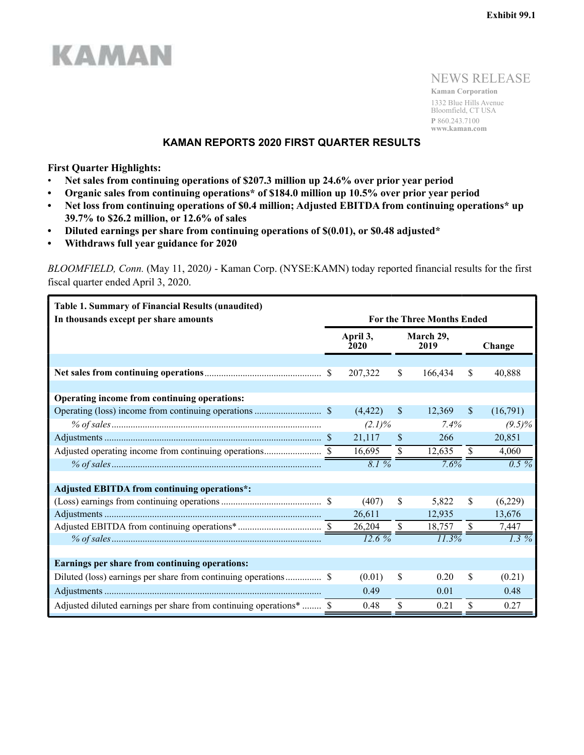

NEWS RELEASE

**Kaman Corporation** 1332 Blue Hills Avenue Bloomfield, CT USA **P** 860.243.7100 **www.kaman.com**

### **KAMAN REPORTS 2020 FIRST QUARTER RESULTS**

**First Quarter Highlights:**

- **Net sales from continuing operations of \$207.3 million up 24.6% over prior year period**
- **Organic sales from continuing operations\* of \$184.0 million up 10.5% over prior year period**
- **Net loss from continuing operations of \$0.4 million; Adjusted EBITDA from continuing operations\* up 39.7% to \$26.2 million, or 12.6% of sales**
- **Diluted earnings per share from continuing operations of \$(0.01), or \$0.48 adjusted\***
- **Withdraws full year guidance for 2020**

*BLOOMFIELD, Conn.* (May 11, 2020*)* - Kaman Corp. (NYSE:KAMN) today reported financial results for the first fiscal quarter ended April 3, 2020.

| <b>Table 1. Summary of Financial Results (unaudited)</b>            |                  |               |                                   |               |           |
|---------------------------------------------------------------------|------------------|---------------|-----------------------------------|---------------|-----------|
| In thousands except per share amounts                               |                  |               | <b>For the Three Months Ended</b> |               |           |
|                                                                     | April 3,<br>2020 |               | March 29,<br>2019                 |               | Change    |
|                                                                     |                  |               |                                   |               |           |
|                                                                     | 207,322          | \$            | 166,434                           | \$            | 40,888    |
|                                                                     |                  |               |                                   |               |           |
| Operating income from continuing operations:                        |                  |               |                                   |               |           |
|                                                                     | (4, 422)         | <sup>S</sup>  | 12,369                            | $\mathbb{S}$  | (16,791)  |
|                                                                     | $(2.1)\%$        |               | 7.4%                              |               | $(9.5)\%$ |
|                                                                     | 21,117           | <sup>\$</sup> | 266                               |               | 20,851    |
|                                                                     | 16,695           | \$            | 12,635                            | $\mathbb{S}$  | 4,060     |
|                                                                     | 8.1%             |               | 7.6%                              |               | $0.5\%$   |
|                                                                     |                  |               |                                   |               |           |
| <b>Adjusted EBITDA from continuing operations*:</b>                 |                  |               |                                   |               |           |
|                                                                     | (407)            | \$            | 5,822                             | <sup>\$</sup> | (6,229)   |
|                                                                     | 26,611           |               | 12,935                            |               | 13,676    |
|                                                                     | 26,204           | $\mathbb{S}$  | 18,757                            | $\mathbb{S}$  | 7,447     |
|                                                                     | $12.6\%$         |               | 11.3%                             |               | $1.3\%$   |
|                                                                     |                  |               |                                   |               |           |
| Earnings per share from continuing operations:                      |                  |               |                                   |               |           |
|                                                                     | (0.01)           | \$            | 0.20                              | \$            | (0.21)    |
|                                                                     | 0.49             |               | 0.01                              |               | 0.48      |
| Adjusted diluted earnings per share from continuing operations*  \$ | 0.48             | \$            | 0.21                              | \$            | 0.27      |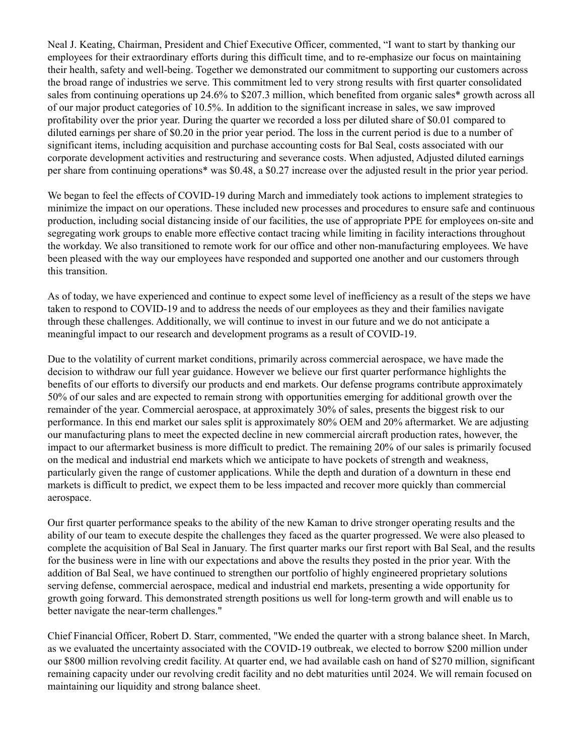Neal J. Keating, Chairman, President and Chief Executive Officer, commented, "I want to start by thanking our employees for their extraordinary efforts during this difficult time, and to re-emphasize our focus on maintaining their health, safety and well-being. Together we demonstrated our commitment to supporting our customers across the broad range of industries we serve. This commitment led to very strong results with first quarter consolidated sales from continuing operations up 24.6% to \$207.3 million, which benefited from organic sales\* growth across all of our major product categories of 10.5%. In addition to the significant increase in sales, we saw improved profitability over the prior year. During the quarter we recorded a loss per diluted share of \$0.01 compared to diluted earnings per share of \$0.20 in the prior year period. The loss in the current period is due to a number of significant items, including acquisition and purchase accounting costs for Bal Seal, costs associated with our corporate development activities and restructuring and severance costs. When adjusted, Adjusted diluted earnings per share from continuing operations\* was \$0.48, a \$0.27 increase over the adjusted result in the prior year period.

We began to feel the effects of COVID-19 during March and immediately took actions to implement strategies to minimize the impact on our operations. These included new processes and procedures to ensure safe and continuous production, including social distancing inside of our facilities, the use of appropriate PPE for employees on-site and segregating work groups to enable more effective contact tracing while limiting in facility interactions throughout the workday. We also transitioned to remote work for our office and other non-manufacturing employees. We have been pleased with the way our employees have responded and supported one another and our customers through this transition.

As of today, we have experienced and continue to expect some level of inefficiency as a result of the steps we have taken to respond to COVID-19 and to address the needs of our employees as they and their families navigate through these challenges. Additionally, we will continue to invest in our future and we do not anticipate a meaningful impact to our research and development programs as a result of COVID-19.

Due to the volatility of current market conditions, primarily across commercial aerospace, we have made the decision to withdraw our full year guidance. However we believe our first quarter performance highlights the benefits of our efforts to diversify our products and end markets. Our defense programs contribute approximately 50% of our sales and are expected to remain strong with opportunities emerging for additional growth over the remainder of the year. Commercial aerospace, at approximately 30% of sales, presents the biggest risk to our performance. In this end market our sales split is approximately 80% OEM and 20% aftermarket. We are adjusting our manufacturing plans to meet the expected decline in new commercial aircraft production rates, however, the impact to our aftermarket business is more difficult to predict. The remaining 20% of our sales is primarily focused on the medical and industrial end markets which we anticipate to have pockets of strength and weakness, particularly given the range of customer applications. While the depth and duration of a downturn in these end markets is difficult to predict, we expect them to be less impacted and recover more quickly than commercial aerospace.

Our first quarter performance speaks to the ability of the new Kaman to drive stronger operating results and the ability of our team to execute despite the challenges they faced as the quarter progressed. We were also pleased to complete the acquisition of Bal Seal in January. The first quarter marks our first report with Bal Seal, and the results for the business were in line with our expectations and above the results they posted in the prior year. With the addition of Bal Seal, we have continued to strengthen our portfolio of highly engineered proprietary solutions serving defense, commercial aerospace, medical and industrial end markets, presenting a wide opportunity for growth going forward. This demonstrated strength positions us well for long-term growth and will enable us to better navigate the near-term challenges."

Chief Financial Officer, Robert D. Starr, commented, "We ended the quarter with a strong balance sheet. In March, as we evaluated the uncertainty associated with the COVID-19 outbreak, we elected to borrow \$200 million under our \$800 million revolving credit facility. At quarter end, we had available cash on hand of \$270 million, significant remaining capacity under our revolving credit facility and no debt maturities until 2024. We will remain focused on maintaining our liquidity and strong balance sheet.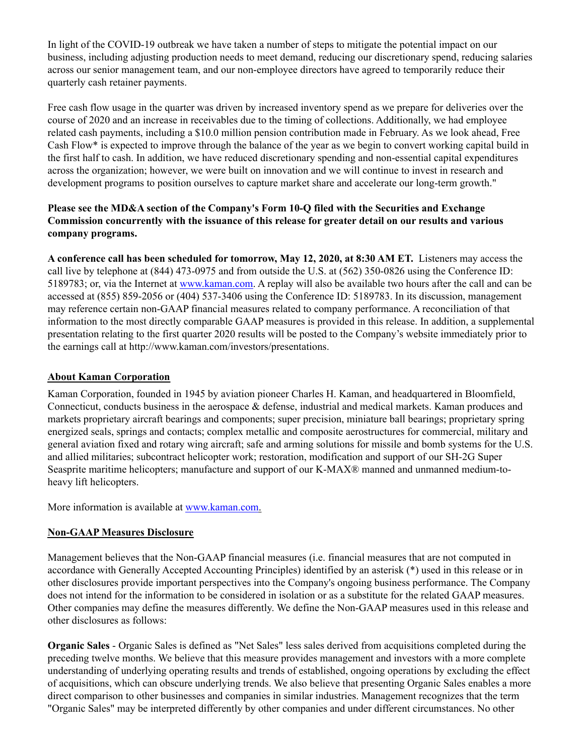In light of the COVID-19 outbreak we have taken a number of steps to mitigate the potential impact on our business, including adjusting production needs to meet demand, reducing our discretionary spend, reducing salaries across our senior management team, and our non-employee directors have agreed to temporarily reduce their quarterly cash retainer payments.

Free cash flow usage in the quarter was driven by increased inventory spend as we prepare for deliveries over the course of 2020 and an increase in receivables due to the timing of collections. Additionally, we had employee related cash payments, including a \$10.0 million pension contribution made in February. As we look ahead, Free Cash Flow\* is expected to improve through the balance of the year as we begin to convert working capital build in the first half to cash. In addition, we have reduced discretionary spending and non-essential capital expenditures across the organization; however, we were built on innovation and we will continue to invest in research and development programs to position ourselves to capture market share and accelerate our long-term growth."

## **Please see the MD&A section of the Company's Form 10-Q filed with the Securities and Exchange Commission concurrently with the issuance of this release for greater detail on our results and various company programs.**

**A conference call has been scheduled for tomorrow, May 12, 2020, at 8:30 AM ET.** Listeners may access the call live by telephone at (844) 473-0975 and from outside the U.S. at (562) 350-0826 using the Conference ID: 5189783; or, via the Internet at www.kaman.com. A replay will also be available two hours after the call and can be accessed at (855) 859-2056 or (404) 537-3406 using the Conference ID: 5189783. In its discussion, management may reference certain non-GAAP financial measures related to company performance. A reconciliation of that information to the most directly comparable GAAP measures is provided in this release. In addition, a supplemental presentation relating to the first quarter 2020 results will be posted to the Company's website immediately prior to the earnings call at http://www.kaman.com/investors/presentations.

## **About Kaman Corporation**

Kaman Corporation, founded in 1945 by aviation pioneer Charles H. Kaman, and headquartered in Bloomfield, Connecticut, conducts business in the aerospace & defense, industrial and medical markets. Kaman produces and markets proprietary aircraft bearings and components; super precision, miniature ball bearings; proprietary spring energized seals, springs and contacts; complex metallic and composite aerostructures for commercial, military and general aviation fixed and rotary wing aircraft; safe and arming solutions for missile and bomb systems for the U.S. and allied militaries; subcontract helicopter work; restoration, modification and support of our SH-2G Super Seasprite maritime helicopters; manufacture and support of our K-MAX® manned and unmanned medium-toheavy lift helicopters.

More information is available at www.kaman.com.

## **Non-GAAP Measures Disclosure**

Management believes that the Non-GAAP financial measures (i.e. financial measures that are not computed in accordance with Generally Accepted Accounting Principles) identified by an asterisk (\*) used in this release or in other disclosures provide important perspectives into the Company's ongoing business performance. The Company does not intend for the information to be considered in isolation or as a substitute for the related GAAP measures. Other companies may define the measures differently. We define the Non-GAAP measures used in this release and other disclosures as follows:

**Organic Sales** - Organic Sales is defined as "Net Sales" less sales derived from acquisitions completed during the preceding twelve months. We believe that this measure provides management and investors with a more complete understanding of underlying operating results and trends of established, ongoing operations by excluding the effect of acquisitions, which can obscure underlying trends. We also believe that presenting Organic Sales enables a more direct comparison to other businesses and companies in similar industries. Management recognizes that the term "Organic Sales" may be interpreted differently by other companies and under different circumstances. No other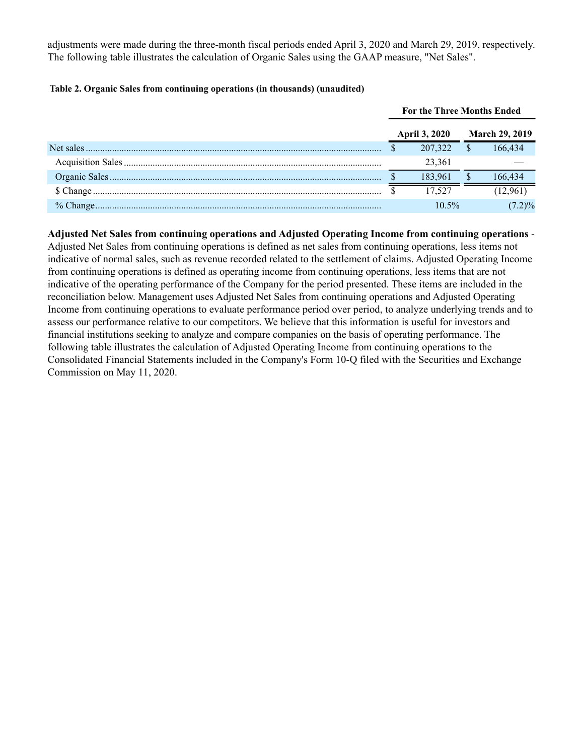adjustments were made during the three-month fiscal periods ended April 3, 2020 and March 29, 2019, respectively. The following table illustrates the calculation of Organic Sales using the GAAP measure, "Net Sales".

#### **Table 2. Organic Sales from continuing operations (in thousands) (unaudited)**

|             | <b>For the Three Months Ended</b> |                      |  |                       |
|-------------|-----------------------------------|----------------------|--|-----------------------|
|             |                                   | <b>April 3, 2020</b> |  | <b>March 29, 2019</b> |
| Net sales   |                                   | 207,322              |  | 66 434                |
|             |                                   | 23.361               |  |                       |
|             |                                   | 183.961              |  | 166.434               |
|             |                                   | 17.527               |  |                       |
| $%$ Change. |                                   | $10.5\%$             |  | 2)%                   |

**Adjusted Net Sales from continuing operations and Adjusted Operating Income from continuing operations** - Adjusted Net Sales from continuing operations is defined as net sales from continuing operations, less items not indicative of normal sales, such as revenue recorded related to the settlement of claims. Adjusted Operating Income from continuing operations is defined as operating income from continuing operations, less items that are not indicative of the operating performance of the Company for the period presented. These items are included in the reconciliation below. Management uses Adjusted Net Sales from continuing operations and Adjusted Operating Income from continuing operations to evaluate performance period over period, to analyze underlying trends and to assess our performance relative to our competitors. We believe that this information is useful for investors and financial institutions seeking to analyze and compare companies on the basis of operating performance. The following table illustrates the calculation of Adjusted Operating Income from continuing operations to the Consolidated Financial Statements included in the Company's Form 10-Q filed with the Securities and Exchange Commission on May 11, 2020.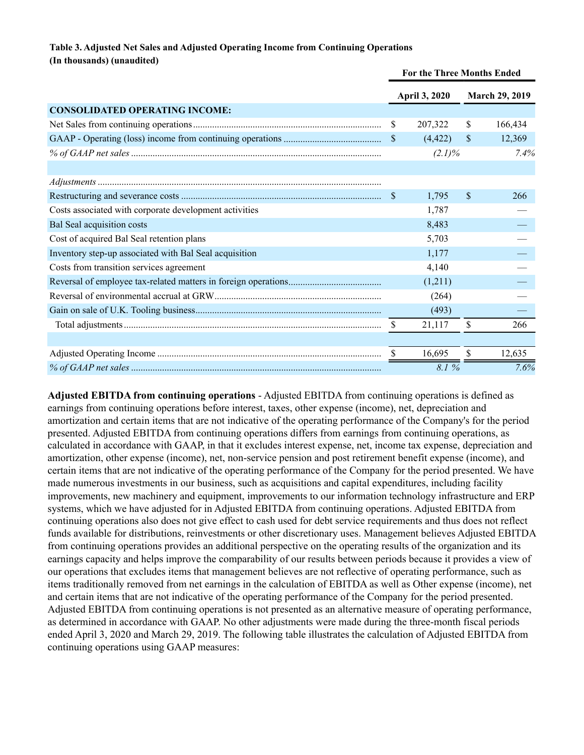#### **Table 3. Adjusted Net Sales and Adjusted Operating Income from Continuing Operations (In thousands) (unaudited)**

|                                                        |              | For the Three Months Ended |              |                       |  |
|--------------------------------------------------------|--------------|----------------------------|--------------|-----------------------|--|
|                                                        |              | <b>April 3, 2020</b>       |              | <b>March 29, 2019</b> |  |
| <b>CONSOLIDATED OPERATING INCOME:</b>                  |              |                            |              |                       |  |
|                                                        | \$           | 207,322                    | \$           | 166,434               |  |
|                                                        | <sup>S</sup> | (4, 422)                   | <sup>S</sup> | 12,369                |  |
|                                                        |              | $(2.1)\%$                  |              | 7.4%                  |  |
|                                                        |              |                            |              |                       |  |
|                                                        |              |                            |              |                       |  |
|                                                        | <sup>8</sup> | 1,795                      | \$           | 266                   |  |
| Costs associated with corporate development activities |              | 1,787                      |              |                       |  |
| Bal Seal acquisition costs                             |              | 8,483                      |              |                       |  |
| Cost of acquired Bal Seal retention plans              |              | 5,703                      |              |                       |  |
| Inventory step-up associated with Bal Seal acquisition |              | 1,177                      |              |                       |  |
| Costs from transition services agreement               |              | 4,140                      |              |                       |  |
|                                                        |              | (1,211)                    |              |                       |  |
|                                                        |              | (264)                      |              |                       |  |
|                                                        |              | (493)                      |              |                       |  |
|                                                        | \$           | 21,117                     | \$           | 266                   |  |
|                                                        |              |                            |              |                       |  |
|                                                        | -S           | 16,695                     | \$           | 12,635                |  |
|                                                        |              | 8.1%                       |              | 7.6%                  |  |

**Adjusted EBITDA from continuing operations** - Adjusted EBITDA from continuing operations is defined as earnings from continuing operations before interest, taxes, other expense (income), net, depreciation and amortization and certain items that are not indicative of the operating performance of the Company's for the period presented. Adjusted EBITDA from continuing operations differs from earnings from continuing operations, as calculated in accordance with GAAP, in that it excludes interest expense, net, income tax expense, depreciation and amortization, other expense (income), net, non-service pension and post retirement benefit expense (income), and certain items that are not indicative of the operating performance of the Company for the period presented. We have made numerous investments in our business, such as acquisitions and capital expenditures, including facility improvements, new machinery and equipment, improvements to our information technology infrastructure and ERP systems, which we have adjusted for in Adjusted EBITDA from continuing operations. Adjusted EBITDA from continuing operations also does not give effect to cash used for debt service requirements and thus does not reflect funds available for distributions, reinvestments or other discretionary uses. Management believes Adjusted EBITDA from continuing operations provides an additional perspective on the operating results of the organization and its earnings capacity and helps improve the comparability of our results between periods because it provides a view of our operations that excludes items that management believes are not reflective of operating performance, such as items traditionally removed from net earnings in the calculation of EBITDA as well as Other expense (income), net and certain items that are not indicative of the operating performance of the Company for the period presented. Adjusted EBITDA from continuing operations is not presented as an alternative measure of operating performance, as determined in accordance with GAAP. No other adjustments were made during the three-month fiscal periods ended April 3, 2020 and March 29, 2019. The following table illustrates the calculation of Adjusted EBITDA from continuing operations using GAAP measures: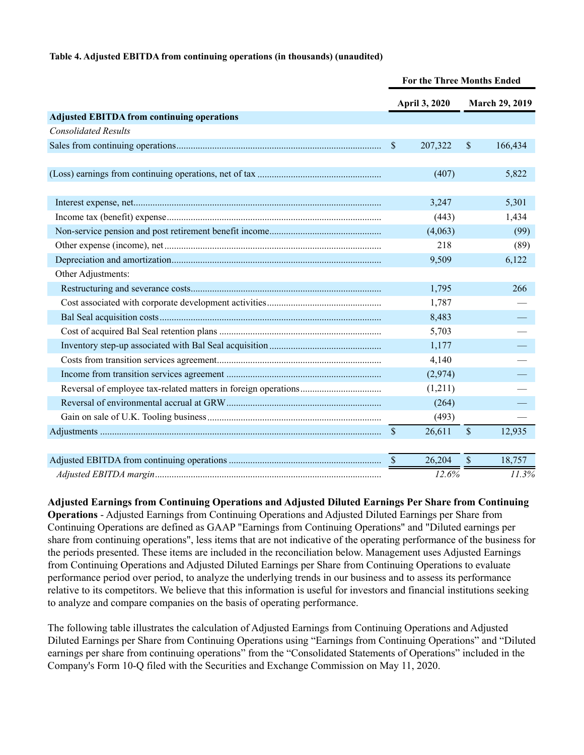#### **Table 4. Adjusted EBITDA from continuing operations (in thousands) (unaudited)**

| April 3, 2020<br>March 29, 2019<br><b>Adjusted EBITDA from continuing operations</b><br><b>Consolidated Results</b><br>$\boldsymbol{\mathsf{S}}$<br>$\mathsf{\$}$<br>166,434<br>207,322<br>(407)<br>5,822<br>5,301<br>3,247<br>(443)<br>1,434<br>(4,063)<br>(99)<br>218<br>(89)<br>6,122<br>9,509<br>Other Adjustments:<br>1,795<br>266<br>1,787<br>8,483<br>5,703<br>1,177<br>4,140<br>(2,974)<br>(1,211)<br>(264)<br>(493)<br>$\mathcal{S}$<br>$\mathsf{\$}$<br>26,611<br>12,935<br>26,204<br>$\mathcal{S}$<br>18,757<br>$\sqrt{\frac{2}{5}}$<br>11.3%<br>12.6% | <b>For the Three Months Ended</b> |  |  |  |
|-------------------------------------------------------------------------------------------------------------------------------------------------------------------------------------------------------------------------------------------------------------------------------------------------------------------------------------------------------------------------------------------------------------------------------------------------------------------------------------------------------------------------------------------------------------------|-----------------------------------|--|--|--|
|                                                                                                                                                                                                                                                                                                                                                                                                                                                                                                                                                                   |                                   |  |  |  |
|                                                                                                                                                                                                                                                                                                                                                                                                                                                                                                                                                                   |                                   |  |  |  |
|                                                                                                                                                                                                                                                                                                                                                                                                                                                                                                                                                                   |                                   |  |  |  |
|                                                                                                                                                                                                                                                                                                                                                                                                                                                                                                                                                                   |                                   |  |  |  |
|                                                                                                                                                                                                                                                                                                                                                                                                                                                                                                                                                                   |                                   |  |  |  |
|                                                                                                                                                                                                                                                                                                                                                                                                                                                                                                                                                                   |                                   |  |  |  |
|                                                                                                                                                                                                                                                                                                                                                                                                                                                                                                                                                                   |                                   |  |  |  |
|                                                                                                                                                                                                                                                                                                                                                                                                                                                                                                                                                                   |                                   |  |  |  |
|                                                                                                                                                                                                                                                                                                                                                                                                                                                                                                                                                                   |                                   |  |  |  |
|                                                                                                                                                                                                                                                                                                                                                                                                                                                                                                                                                                   |                                   |  |  |  |
|                                                                                                                                                                                                                                                                                                                                                                                                                                                                                                                                                                   |                                   |  |  |  |
|                                                                                                                                                                                                                                                                                                                                                                                                                                                                                                                                                                   |                                   |  |  |  |
|                                                                                                                                                                                                                                                                                                                                                                                                                                                                                                                                                                   |                                   |  |  |  |
|                                                                                                                                                                                                                                                                                                                                                                                                                                                                                                                                                                   |                                   |  |  |  |
|                                                                                                                                                                                                                                                                                                                                                                                                                                                                                                                                                                   |                                   |  |  |  |
|                                                                                                                                                                                                                                                                                                                                                                                                                                                                                                                                                                   |                                   |  |  |  |
|                                                                                                                                                                                                                                                                                                                                                                                                                                                                                                                                                                   |                                   |  |  |  |
|                                                                                                                                                                                                                                                                                                                                                                                                                                                                                                                                                                   |                                   |  |  |  |
|                                                                                                                                                                                                                                                                                                                                                                                                                                                                                                                                                                   |                                   |  |  |  |
|                                                                                                                                                                                                                                                                                                                                                                                                                                                                                                                                                                   |                                   |  |  |  |
|                                                                                                                                                                                                                                                                                                                                                                                                                                                                                                                                                                   |                                   |  |  |  |
|                                                                                                                                                                                                                                                                                                                                                                                                                                                                                                                                                                   |                                   |  |  |  |
|                                                                                                                                                                                                                                                                                                                                                                                                                                                                                                                                                                   |                                   |  |  |  |
|                                                                                                                                                                                                                                                                                                                                                                                                                                                                                                                                                                   |                                   |  |  |  |

**Adjusted Earnings from Continuing Operations and Adjusted Diluted Earnings Per Share from Continuing Operations** - Adjusted Earnings from Continuing Operations and Adjusted Diluted Earnings per Share from Continuing Operations are defined as GAAP "Earnings from Continuing Operations" and "Diluted earnings per share from continuing operations", less items that are not indicative of the operating performance of the business for the periods presented. These items are included in the reconciliation below. Management uses Adjusted Earnings from Continuing Operations and Adjusted Diluted Earnings per Share from Continuing Operations to evaluate performance period over period, to analyze the underlying trends in our business and to assess its performance relative to its competitors. We believe that this information is useful for investors and financial institutions seeking to analyze and compare companies on the basis of operating performance.

The following table illustrates the calculation of Adjusted Earnings from Continuing Operations and Adjusted Diluted Earnings per Share from Continuing Operations using "Earnings from Continuing Operations" and "Diluted earnings per share from continuing operations" from the "Consolidated Statements of Operations" included in the Company's Form 10-Q filed with the Securities and Exchange Commission on May 11, 2020.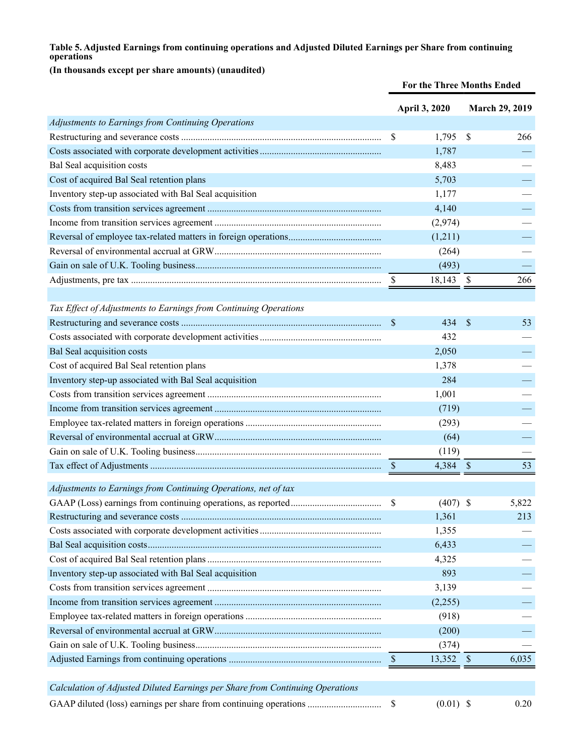## **Table 5. Adjusted Earnings from continuing operations and Adjusted Diluted Earnings per Share from continuing operations**

# **(In thousands except per share amounts) (unaudited)**

|                                                                               | For the Three Months Ended |               |                           |                       |
|-------------------------------------------------------------------------------|----------------------------|---------------|---------------------------|-----------------------|
|                                                                               |                            | April 3, 2020 |                           | <b>March 29, 2019</b> |
| Adjustments to Earnings from Continuing Operations                            |                            |               |                           |                       |
|                                                                               | \$                         | 1,795         | \$                        | 266                   |
|                                                                               |                            | 1,787         |                           |                       |
| Bal Seal acquisition costs                                                    |                            | 8,483         |                           |                       |
| Cost of acquired Bal Seal retention plans                                     |                            | 5,703         |                           |                       |
| Inventory step-up associated with Bal Seal acquisition                        |                            | 1,177         |                           |                       |
|                                                                               |                            | 4,140         |                           |                       |
|                                                                               |                            | (2,974)       |                           |                       |
|                                                                               |                            | (1,211)       |                           |                       |
|                                                                               |                            | (264)         |                           |                       |
|                                                                               |                            | (493)         |                           |                       |
|                                                                               | \$                         | 18,143        | - S                       | 266                   |
|                                                                               |                            |               |                           |                       |
| Tax Effect of Adjustments to Earnings from Continuing Operations              |                            |               |                           |                       |
|                                                                               | $\mathbf{\$}$              | 434           | <sup>\$</sup>             | 53                    |
|                                                                               |                            | 432           |                           |                       |
| Bal Seal acquisition costs                                                    |                            | 2,050         |                           |                       |
| Cost of acquired Bal Seal retention plans                                     |                            | 1,378         |                           |                       |
| Inventory step-up associated with Bal Seal acquisition                        |                            | 284           |                           |                       |
|                                                                               |                            | 1,001         |                           |                       |
|                                                                               |                            | (719)         |                           |                       |
|                                                                               |                            | (293)         |                           |                       |
|                                                                               |                            | (64)          |                           |                       |
|                                                                               |                            | (119)         |                           |                       |
|                                                                               |                            | 4,384         | $\boldsymbol{\mathsf{S}}$ | 53                    |
| Adjustments to Earnings from Continuing Operations, net of tax                |                            |               |                           |                       |
|                                                                               | \$                         | (407)         | \$                        | 5,822                 |
|                                                                               |                            | 1,361         |                           | 213                   |
|                                                                               |                            | 1,355         |                           |                       |
|                                                                               |                            | 6,433         |                           |                       |
|                                                                               |                            | 4,325         |                           |                       |
| Inventory step-up associated with Bal Seal acquisition                        |                            | 893           |                           |                       |
|                                                                               |                            | 3,139         |                           |                       |
|                                                                               |                            | (2,255)       |                           |                       |
|                                                                               |                            | (918)         |                           |                       |
|                                                                               |                            | (200)         |                           |                       |
|                                                                               |                            | (374)         |                           |                       |
|                                                                               | <sup>S</sup>               | 13,352        | $\mathcal{S}$             | 6,035                 |
|                                                                               |                            |               |                           |                       |
| Calculation of Adjusted Diluted Earnings per Share from Continuing Operations |                            |               |                           |                       |
| GAAP diluted (loss) earnings per share from continuing operations             | \$                         | $(0.01)$ \$   |                           | 0.20                  |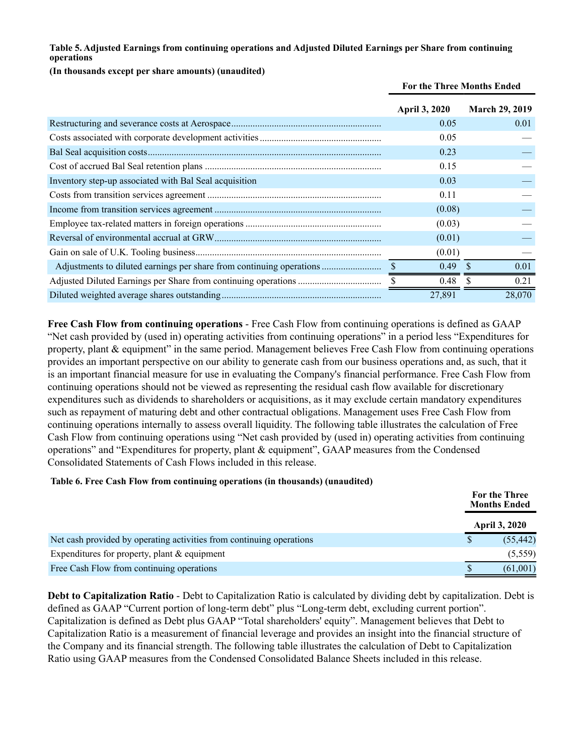#### **Table 5. Adjusted Earnings from continuing operations and Adjusted Diluted Earnings per Share from continuing operations**

#### **(In thousands except per share amounts) (unaudited)**

|                                                                      | For the Three Months Ended |                       |  |
|----------------------------------------------------------------------|----------------------------|-----------------------|--|
|                                                                      | <b>April 3, 2020</b>       | <b>March 29, 2019</b> |  |
|                                                                      | 0.05                       | 0.01                  |  |
|                                                                      | 0.05                       |                       |  |
|                                                                      | 0.23                       |                       |  |
|                                                                      | 0.15                       |                       |  |
| Inventory step-up associated with Bal Seal acquisition               | 0.03                       |                       |  |
|                                                                      | 0.11                       |                       |  |
|                                                                      | (0.08)                     |                       |  |
|                                                                      | (0.03)                     |                       |  |
|                                                                      | (0.01)                     |                       |  |
|                                                                      | (0.01)                     |                       |  |
| Adjustments to diluted earnings per share from continuing operations | 0.49                       | -S<br>0.01            |  |
|                                                                      | 0.48                       | 0.21                  |  |
|                                                                      | 27,891                     | 28,070                |  |

**Free Cash Flow from continuing operations** - Free Cash Flow from continuing operations is defined as GAAP "Net cash provided by (used in) operating activities from continuing operations" in a period less "Expenditures for property, plant & equipment" in the same period. Management believes Free Cash Flow from continuing operations provides an important perspective on our ability to generate cash from our business operations and, as such, that it is an important financial measure for use in evaluating the Company's financial performance. Free Cash Flow from continuing operations should not be viewed as representing the residual cash flow available for discretionary expenditures such as dividends to shareholders or acquisitions, as it may exclude certain mandatory expenditures such as repayment of maturing debt and other contractual obligations. Management uses Free Cash Flow from continuing operations internally to assess overall liquidity. The following table illustrates the calculation of Free Cash Flow from continuing operations using "Net cash provided by (used in) operating activities from continuing operations" and "Expenditures for property, plant & equipment", GAAP measures from the Condensed Consolidated Statements of Cash Flows included in this release.

#### **Table 6. Free Cash Flow from continuing operations (in thousands) (unaudited)**

|                                                                      | For the Three<br><b>Months Ended</b> |
|----------------------------------------------------------------------|--------------------------------------|
|                                                                      | <b>April 3, 2020</b>                 |
| Net cash provided by operating activities from continuing operations | (55, 442)                            |
| Expenditures for property, plant $&$ equipment                       | (5,559)                              |
| Free Cash Flow from continuing operations                            | (61,001)                             |

**Debt to Capitalization Ratio** - Debt to Capitalization Ratio is calculated by dividing debt by capitalization. Debt is defined as GAAP "Current portion of long-term debt" plus "Long-term debt, excluding current portion". Capitalization is defined as Debt plus GAAP "Total shareholders' equity". Management believes that Debt to Capitalization Ratio is a measurement of financial leverage and provides an insight into the financial structure of the Company and its financial strength. The following table illustrates the calculation of Debt to Capitalization Ratio using GAAP measures from the Condensed Consolidated Balance Sheets included in this release.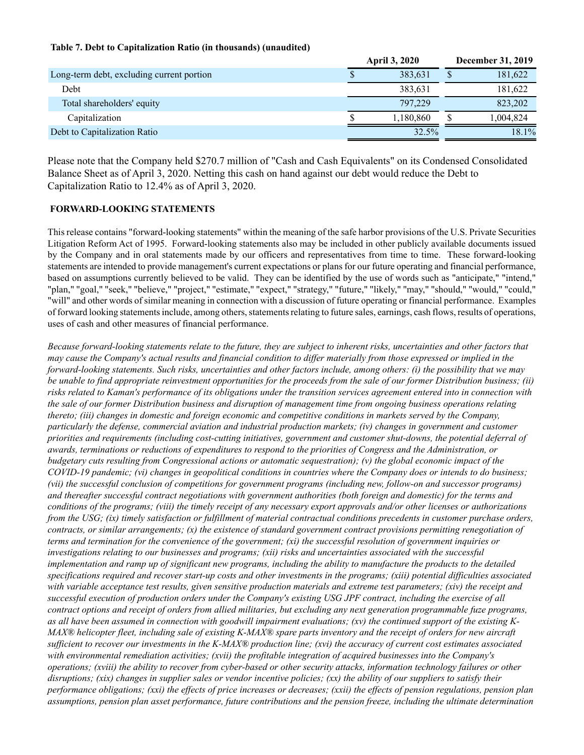#### **Table 7. Debt to Capitalization Ratio (in thousands) (unaudited)**

|                                           |    | <b>April 3, 2020</b> |   | <b>December 31, 2019</b> |
|-------------------------------------------|----|----------------------|---|--------------------------|
| Long-term debt, excluding current portion | ٨D | 383,631              | D | 181,622                  |
| Debt                                      |    | 383.631              |   | 181,622                  |
| Total shareholders' equity                |    | 797.229              |   | 823,202                  |
| Capitalization                            |    | 1,180,860            |   | 1,004,824                |
| Debt to Capitalization Ratio              |    | 32.5%                |   | 18.1%                    |

Please note that the Company held \$270.7 million of "Cash and Cash Equivalents" on its Condensed Consolidated Balance Sheet as of April 3, 2020. Netting this cash on hand against our debt would reduce the Debt to Capitalization Ratio to 12.4% as of April 3, 2020.

#### **FORWARD-LOOKING STATEMENTS**

This release contains "forward-looking statements" within the meaning of the safe harbor provisions of the U.S. Private Securities Litigation Reform Act of 1995. Forward-looking statements also may be included in other publicly available documents issued by the Company and in oral statements made by our officers and representatives from time to time. These forward-looking statements are intended to provide management's current expectations or plans for our future operating and financial performance, based on assumptions currently believed to be valid. They can be identified by the use of words such as "anticipate," "intend," "plan," "goal," "seek," "believe," "project," "estimate," "expect," "strategy," "future," "likely," "may," "should," "would," "could," "will" and other words of similar meaning in connection with a discussion of future operating or financial performance. Examples of forward looking statements include, among others, statements relating to future sales, earnings, cash flows, results of operations, uses of cash and other measures of financial performance.

*Because forward-looking statements relate to the future, they are subject to inherent risks, uncertainties and other factors that may cause the Company's actual results and financial condition to differ materially from those expressed or implied in the forward-looking statements. Such risks, uncertainties and other factors include, among others: (i) the possibility that we may be unable to find appropriate reinvestment opportunities for the proceeds from the sale of our former Distribution business; (ii) risks related to Kaman's performance of its obligations under the transition services agreement entered into in connection with the sale of our former Distribution business and disruption of management time from ongoing business operations relating thereto; (iii) changes in domestic and foreign economic and competitive conditions in markets served by the Company, particularly the defense, commercial aviation and industrial production markets; (iv) changes in government and customer priorities and requirements (including cost-cutting initiatives, government and customer shut-downs, the potential deferral of awards, terminations or reductions of expenditures to respond to the priorities of Congress and the Administration, or budgetary cuts resulting from Congressional actions or automatic sequestration); (v) the global economic impact of the COVID-19 pandemic; (vi) changes in geopolitical conditions in countries where the Company does or intends to do business; (vii) the successful conclusion of competitions for government programs (including new, follow-on and successor programs) and thereafter successful contract negotiations with government authorities (both foreign and domestic) for the terms and conditions of the programs; (viii) the timely receipt of any necessary export approvals and/or other licenses or authorizations from the USG; (ix) timely satisfaction or fulfillment of material contractual conditions precedents in customer purchase orders, contracts, or similar arrangements; (x) the existence of standard government contract provisions permitting renegotiation of terms and termination for the convenience of the government; (xi) the successful resolution of government inquiries or investigations relating to our businesses and programs; (xii) risks and uncertainties associated with the successful implementation and ramp up of significant new programs, including the ability to manufacture the products to the detailed specifications required and recover start-up costs and other investments in the programs; (xiii) potential difficulties associated with variable acceptance test results, given sensitive production materials and extreme test parameters; (xiv) the receipt and successful execution of production orders under the Company's existing USG JPF contract, including the exercise of all contract options and receipt of orders from allied militaries, but excluding any next generation programmable fuze programs, as all have been assumed in connection with goodwill impairment evaluations; (xv) the continued support of the existing K-MAX® helicopter fleet, including sale of existing K-MAX® spare parts inventory and the receipt of orders for new aircraft sufficient to recover our investments in the K-MAX® production line; (xvi) the accuracy of current cost estimates associated with environmental remediation activities; (xvii) the profitable integration of acquired businesses into the Company's operations; (xviii) the ability to recover from cyber-based or other security attacks, information technology failures or other disruptions; (xix) changes in supplier sales or vendor incentive policies; (xx) the ability of our suppliers to satisfy their performance obligations; (xxi) the effects of price increases or decreases; (xxii) the effects of pension regulations, pension plan assumptions, pension plan asset performance, future contributions and the pension freeze, including the ultimate determination*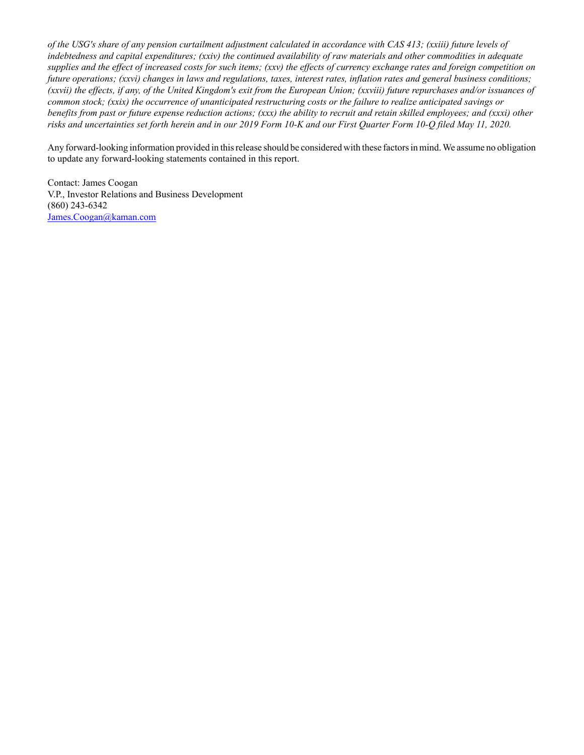*of the USG's share of any pension curtailment adjustment calculated in accordance with CAS 413; (xxiii) future levels of indebtedness and capital expenditures; (xxiv) the continued availability of raw materials and other commodities in adequate supplies and the effect of increased costs for such items; (xxv) the effects of currency exchange rates and foreign competition on future operations; (xxvi) changes in laws and regulations, taxes, interest rates, inflation rates and general business conditions; (xxvii) the effects, if any, of the United Kingdom's exit from the European Union; (xxviii) future repurchases and/or issuances of common stock; (xxix) the occurrence of unanticipated restructuring costs or the failure to realize anticipated savings or benefits from past or future expense reduction actions; (xxx) the ability to recruit and retain skilled employees; and (xxxi) other risks and uncertainties set forth herein and in our 2019 Form 10-K and our First Quarter Form 10-Q filed May 11, 2020.*

Any forward-looking information provided in this release should be considered with these factors in mind. We assume no obligation to update any forward-looking statements contained in this report.

Contact: James Coogan V.P., Investor Relations and Business Development (860) 243-6342 James.Coogan@kaman.com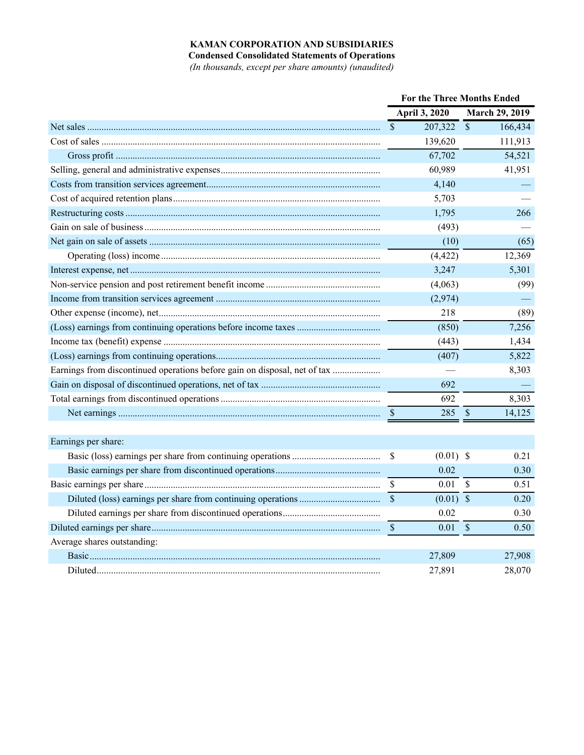## **KAMAN CORPORATION AND SUBSIDIARIES**

**Condensed Consolidated Statements of Operations**

*(In thousands, except per share amounts) (unaudited)*

|                                                                           | <b>For the Three Months Ended</b> |               |                           |                       |
|---------------------------------------------------------------------------|-----------------------------------|---------------|---------------------------|-----------------------|
|                                                                           |                                   | April 3, 2020 |                           | <b>March 29, 2019</b> |
|                                                                           | $\mathcal{S}$                     | 207,322       | $\sqrt{\ }$               | 166,434               |
|                                                                           |                                   | 139,620       |                           | 111,913               |
|                                                                           |                                   | 67,702        |                           | 54,521                |
|                                                                           |                                   | 60,989        |                           | 41,951                |
|                                                                           |                                   | 4,140         |                           |                       |
|                                                                           |                                   | 5,703         |                           |                       |
|                                                                           |                                   | 1,795         |                           | 266                   |
|                                                                           |                                   | (493)         |                           |                       |
|                                                                           |                                   | (10)          |                           | (65)                  |
|                                                                           |                                   | (4, 422)      |                           | 12,369                |
|                                                                           |                                   | 3,247         |                           | 5,301                 |
|                                                                           |                                   | (4,063)       |                           | (99)                  |
|                                                                           |                                   | (2,974)       |                           |                       |
|                                                                           |                                   | 218           |                           | (89)                  |
|                                                                           |                                   | (850)         |                           | 7,256                 |
|                                                                           |                                   | (443)         |                           | 1,434                 |
|                                                                           |                                   | (407)         |                           | 5,822                 |
| Earnings from discontinued operations before gain on disposal, net of tax |                                   |               |                           | 8,303                 |
|                                                                           |                                   | 692           |                           |                       |
|                                                                           |                                   | 692           |                           | 8,303                 |
|                                                                           | $\sqrt{3}$                        | 285           | $\sqrt{\frac{2}{5}}$      | 14,125                |
|                                                                           |                                   |               |                           |                       |
| Earnings per share:                                                       |                                   |               |                           |                       |
|                                                                           | \$                                | $(0.01)$ \$   |                           | 0.21                  |
|                                                                           |                                   | 0.02          |                           | 0.30                  |
|                                                                           | <sup>S</sup>                      | 0.01          | $\boldsymbol{\mathsf{S}}$ | 0.51                  |
|                                                                           | $\mathcal{S}$                     | $(0.01)$ \$   |                           | 0.20                  |
|                                                                           |                                   | 0.02          |                           | 0.30                  |
|                                                                           | $\mathcal{S}$                     | 0.01          | $\mathcal{S}$             | 0.50                  |
| Average shares outstanding:                                               |                                   |               |                           |                       |
|                                                                           |                                   | 27,809        |                           | 27,908                |
|                                                                           |                                   | 27,891        |                           | 28,070                |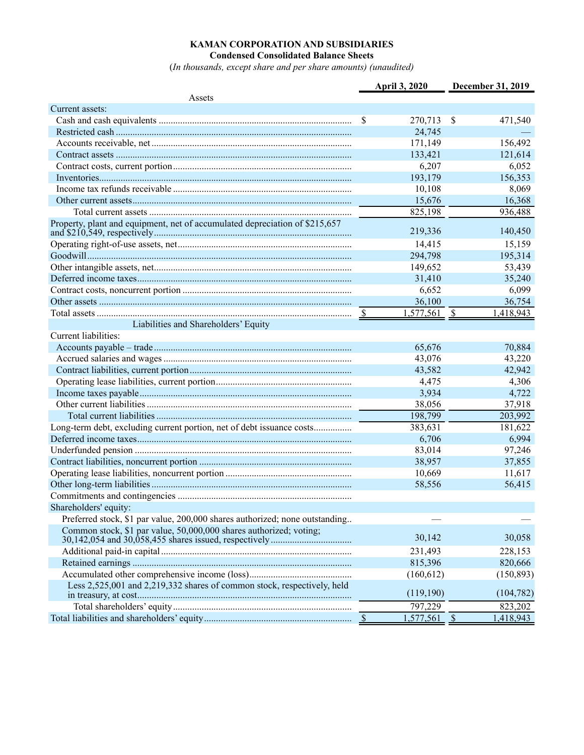#### **KAMAN CORPORATION AND SUBSIDIARIES Condensed Consolidated Balance Sheets**

(*In thousands, except share and per share amounts) (unaudited)*

|                                                                             | April 3, 2020  | December 31, 2019       |
|-----------------------------------------------------------------------------|----------------|-------------------------|
| Assets                                                                      |                |                         |
| Current assets:                                                             |                |                         |
|                                                                             | \$<br>270,713  | \$<br>471,540           |
|                                                                             | 24,745         |                         |
|                                                                             | 171,149        | 156,492                 |
|                                                                             | 133,421        | 121,614                 |
|                                                                             | 6,207          | 6,052                   |
|                                                                             | 193,179        | 156,353                 |
|                                                                             | 10,108         | 8,069                   |
|                                                                             | 15,676         | 16,368                  |
|                                                                             | 825,198        | 936,488                 |
| Property, plant and equipment, net of accumulated depreciation of \$215,657 | 219,336        | 140,450                 |
|                                                                             | 14,415         | 15,159                  |
|                                                                             | 294,798        | 195,314                 |
|                                                                             | 149,652        | 53,439                  |
|                                                                             | 31,410         | 35,240                  |
|                                                                             | 6,652          | 6,099                   |
|                                                                             | 36,100         | 36,754                  |
|                                                                             | $1,577,561$ \$ | 1,418,943               |
| Liabilities and Shareholders' Equity                                        |                |                         |
| Current liabilities:                                                        |                |                         |
|                                                                             | 65,676         | 70,884                  |
|                                                                             | 43,076         | 43,220                  |
|                                                                             | 43,582         | 42,942                  |
|                                                                             | 4,475          | 4,306                   |
|                                                                             | 3,934          | 4,722                   |
|                                                                             | 38,056         | 37,918                  |
|                                                                             | 198,799        | 203,992                 |
|                                                                             | 383,631        | 181,622                 |
|                                                                             | 6,706          | 6,994                   |
|                                                                             | 83,014         | 97,246                  |
|                                                                             | 38,957         | 37,855                  |
|                                                                             | 10,669         | 11,617                  |
|                                                                             | 58,556         | 56,415                  |
|                                                                             |                |                         |
| Shareholders' equity:                                                       |                |                         |
| Preferred stock, \$1 par value, 200,000 shares authorized; none outstanding |                |                         |
| Common stock, \$1 par value, 50,000,000 shares authorized; voting;          |                |                         |
|                                                                             | 30,142         | 30,058                  |
|                                                                             | 231,493        | 228,153                 |
|                                                                             | 815,396        | 820,666                 |
|                                                                             | (160, 612)     | (150, 893)              |
| Less 2,525,001 and 2,219,332 shares of common stock, respectively, held     |                |                         |
|                                                                             | (119,190)      | (104, 782)              |
|                                                                             | 797,229        | 823,202                 |
|                                                                             | 1,577,561      | $\sqrt{S}$<br>1,418,943 |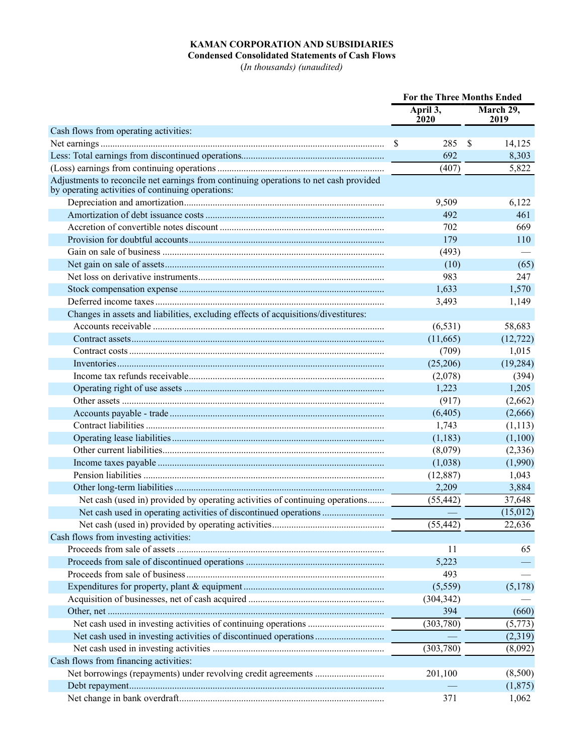# **KAMAN CORPORATION AND SUBSIDIARIES**

**Condensed Consolidated Statements of Cash Flows** (*In thousands) (unaudited)*

|                                                                                                                                            | <b>For the Three Months Ended</b> |                         |    |                    |
|--------------------------------------------------------------------------------------------------------------------------------------------|-----------------------------------|-------------------------|----|--------------------|
|                                                                                                                                            |                                   | April 3,<br><b>2020</b> |    | March 29,<br>2019  |
| Cash flows from operating activities:                                                                                                      |                                   |                         |    |                    |
|                                                                                                                                            | \$                                | 285                     | \$ | 14,125             |
|                                                                                                                                            |                                   | 692                     |    | 8,303              |
|                                                                                                                                            |                                   | (407)                   |    | 5,822              |
| Adjustments to reconcile net earnings from continuing operations to net cash provided<br>by operating activities of continuing operations: |                                   |                         |    |                    |
|                                                                                                                                            |                                   | 9,509                   |    | 6,122              |
|                                                                                                                                            |                                   | 492                     |    | 461                |
|                                                                                                                                            |                                   | 702                     |    | 669                |
|                                                                                                                                            |                                   | 179                     |    | 110                |
|                                                                                                                                            |                                   | (493)                   |    |                    |
|                                                                                                                                            |                                   | (10)                    |    | (65)               |
|                                                                                                                                            |                                   | 983                     |    | 247                |
|                                                                                                                                            |                                   | 1,633                   |    | 1,570              |
|                                                                                                                                            |                                   | 3,493                   |    | 1,149              |
| Changes in assets and liabilities, excluding effects of acquisitions/divestitures:                                                         |                                   |                         |    |                    |
|                                                                                                                                            |                                   | (6, 531)                |    | 58,683             |
|                                                                                                                                            |                                   | (11,665)                |    | (12, 722)          |
|                                                                                                                                            |                                   | (709)                   |    | 1,015              |
|                                                                                                                                            |                                   | (25,206)                |    | (19, 284)          |
|                                                                                                                                            |                                   | (2,078)                 |    | (394)              |
|                                                                                                                                            |                                   | 1,223                   |    | 1,205              |
|                                                                                                                                            |                                   | (917)                   |    | (2,662)            |
|                                                                                                                                            |                                   | (6,405)                 |    | (2,666)            |
|                                                                                                                                            |                                   | 1,743                   |    | (1, 113)           |
|                                                                                                                                            |                                   | (1,183)                 |    | (1,100)            |
|                                                                                                                                            |                                   | (8,079)                 |    | (2,336)            |
|                                                                                                                                            |                                   | (1,038)                 |    | (1,990)            |
|                                                                                                                                            |                                   | (12, 887)               |    | 1,043              |
|                                                                                                                                            |                                   | 2,209                   |    | 3,884              |
| Net cash (used in) provided by operating activities of continuing operations                                                               |                                   | (55, 442)               |    | 37,648             |
|                                                                                                                                            |                                   |                         |    | (15,012)           |
|                                                                                                                                            |                                   | (55, 442)               |    | 22,636             |
| Cash flows from investing activities:                                                                                                      |                                   |                         |    |                    |
|                                                                                                                                            |                                   | 11                      |    | 65                 |
|                                                                                                                                            |                                   | 5,223                   |    |                    |
|                                                                                                                                            |                                   | 493                     |    |                    |
|                                                                                                                                            |                                   | (5,559)                 |    | (5,178)            |
|                                                                                                                                            |                                   | (304, 342)              |    |                    |
|                                                                                                                                            |                                   | 394                     |    | (660)              |
|                                                                                                                                            |                                   |                         |    |                    |
|                                                                                                                                            |                                   | (303,780)               |    | (5,773)<br>(2,319) |
|                                                                                                                                            |                                   | (303, 780)              |    |                    |
|                                                                                                                                            |                                   |                         |    | (8,092)            |
| Cash flows from financing activities:                                                                                                      |                                   |                         |    |                    |
|                                                                                                                                            |                                   | 201,100                 |    | (8,500)            |
|                                                                                                                                            |                                   |                         |    | (1,875)            |
|                                                                                                                                            |                                   | 371                     |    | 1,062              |